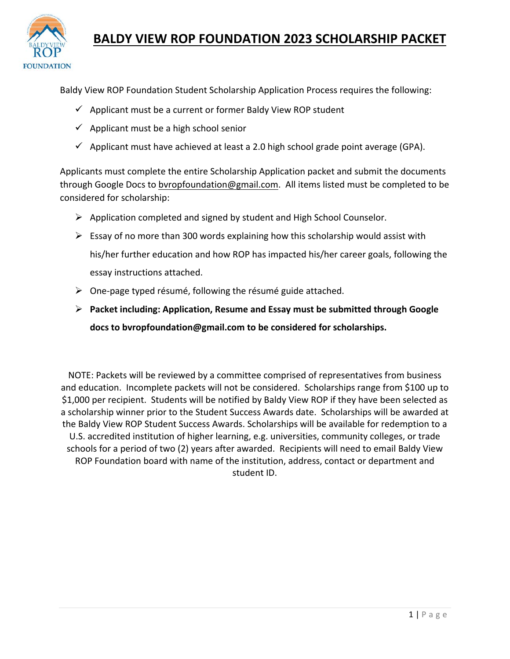

#### **BALDY VIEW ROP FOUNDATION 2023 SCHOLARSHIP PACKET**

Baldy View ROP Foundation Student Scholarship Application Process requires the following:

- $\checkmark$  Applicant must be a current or former Baldy View ROP student
- $\checkmark$  Applicant must be a high school senior
- $\checkmark$  Applicant must have achieved at least a 2.0 high school grade point average (GPA).

Applicants must complete the entire Scholarship Application packet and submit the documents through Google Docs to [bvropfoundation@gmail.com.](mailto:bvropfoundation@gmail.com) All items listed must be completed to be considered for scholarship:

- $\triangleright$  Application completed and signed by student and High School Counselor.
- $\triangleright$  Essay of no more than 300 words explaining how this scholarship would assist with his/her further education and how ROP has impacted his/her career goals, following the essay instructions attached.
- $\triangleright$  One-page typed résumé, following the résumé guide attached.
- **Packet including: Application, Resume and Essay must be submitted through Google docs t[o bvropfoundation@gmail.com](mailto:bvropfoundation@gmail.com) to be considered for scholarships.**

NOTE: Packets will be reviewed by a committee comprised of representatives from business and education. Incomplete packets will not be considered. Scholarships range from \$100 up to \$1,000 per recipient. Students will be notified by Baldy View ROP if they have been selected as a scholarship winner prior to the Student Success Awards date. Scholarships will be awarded at the Baldy View ROP Student Success Awards. Scholarships will be available for redemption to a U.S. accredited institution of higher learning, e.g. universities, community colleges, or trade schools for a period of two (2) years after awarded. Recipients will need to email Baldy View ROP Foundation board with name of the institution, address, contact or department and student ID.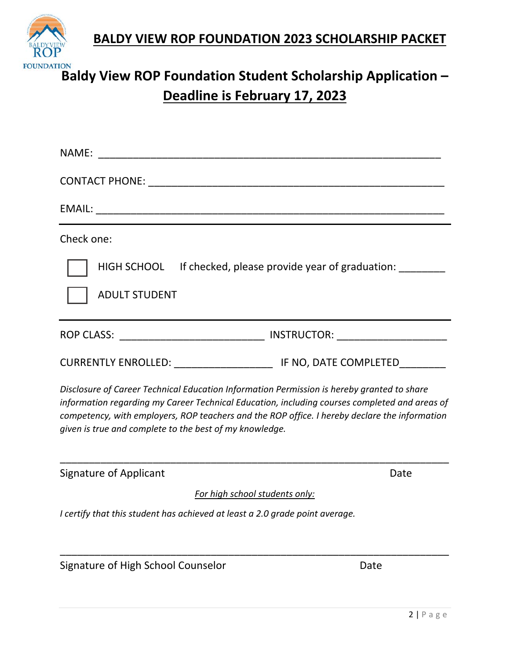**BALDY VIEW ROP FOUNDATION 2023 SCHOLARSHIP PACKET**



# **Baldy View ROP Foundation Student Scholarship Application – Deadline is February 17, 2023**

| NAME: and the state of the state of the state of the state of the state of the state of the state of the state of the state of the state of the state of the state of the state of the state of the state of the state of the                                                                                                                           |      |
|---------------------------------------------------------------------------------------------------------------------------------------------------------------------------------------------------------------------------------------------------------------------------------------------------------------------------------------------------------|------|
|                                                                                                                                                                                                                                                                                                                                                         |      |
|                                                                                                                                                                                                                                                                                                                                                         |      |
| Check one:                                                                                                                                                                                                                                                                                                                                              |      |
| HIGH SCHOOL If checked, please provide year of graduation:<br><b>ADULT STUDENT</b>                                                                                                                                                                                                                                                                      |      |
|                                                                                                                                                                                                                                                                                                                                                         |      |
|                                                                                                                                                                                                                                                                                                                                                         |      |
| Disclosure of Career Technical Education Information Permission is hereby granted to share<br>information regarding my Career Technical Education, including courses completed and areas of<br>competency, with employers, ROP teachers and the ROP office. I hereby declare the information<br>given is true and complete to the best of my knowledge. |      |
| <b>Signature of Applicant</b>                                                                                                                                                                                                                                                                                                                           | Date |
| For high school students only:                                                                                                                                                                                                                                                                                                                          |      |
| I certify that this student has achieved at least a 2.0 grade point average.                                                                                                                                                                                                                                                                            |      |
| Signature of High School Counselor                                                                                                                                                                                                                                                                                                                      | Date |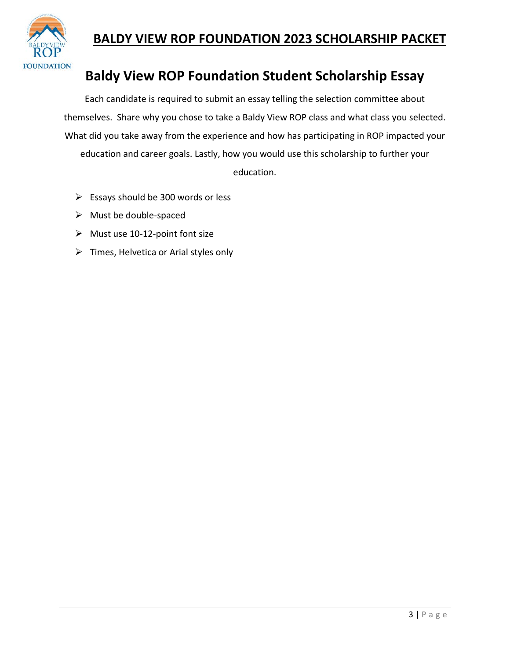

### **BALDY VIEW ROP FOUNDATION 2023 SCHOLARSHIP PACKET**

## **Baldy View ROP Foundation Student Scholarship Essay**

Each candidate is required to submit an essay telling the selection committee about themselves. Share why you chose to take a Baldy View ROP class and what class you selected. What did you take away from the experience and how has participating in ROP impacted your education and career goals. Lastly, how you would use this scholarship to further your education.

- $\triangleright$  Essays should be 300 words or less
- $\triangleright$  Must be double-spaced
- $\triangleright$  Must use 10-12-point font size
- $\triangleright$  Times, Helvetica or Arial styles only